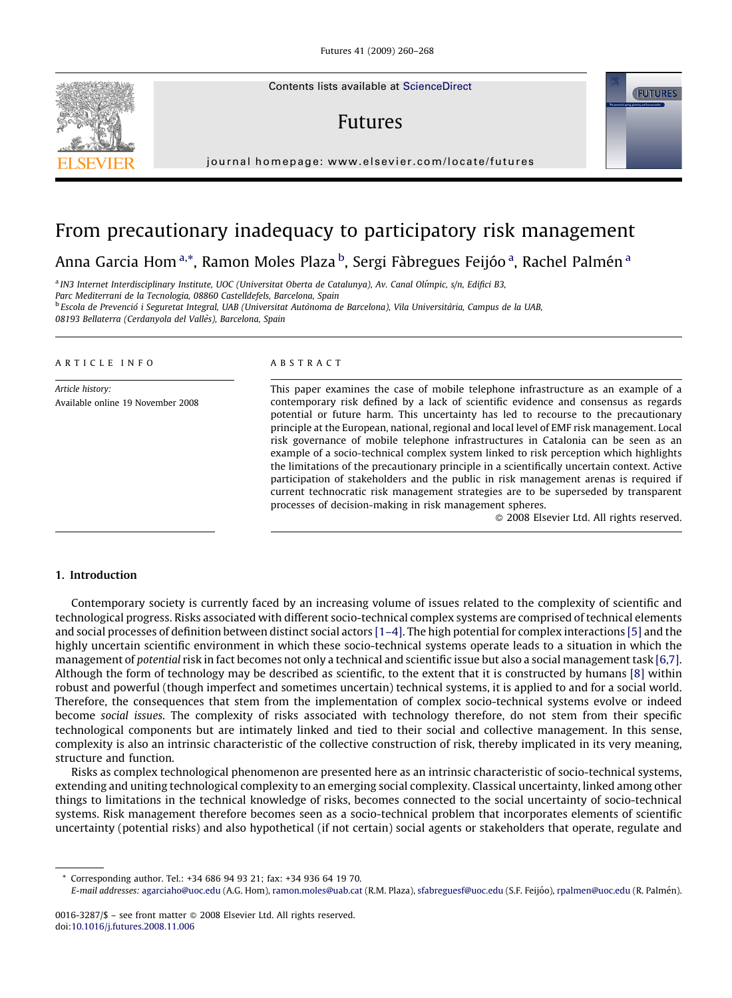Contents lists available at [ScienceDirect](http://www.sciencedirect.com/science/journal/00163287)

## Futures

journal homepage: www.elsevier.com/locate/futures

# From precautionary inadequacy to participatory risk management

Anna Garcia Hom<sup>a,\*</sup>, Ramon Moles Plaza <sup>b</sup>, Sergi Fàbregues Feijóo <sup>a</sup>, Rachel Palmén <sup>a</sup>

<sup>a</sup> IN3 Internet Interdisciplinary Institute. UOC (Universitat Oberta de Catalunya), Av. Canal Olímpic, s/n, Edifici B3, Parc Mediterrani de la Tecnologia, 08860 Castelldefels, Barcelona, Spain <sup>b</sup> Escola de Prevenció i Seguretat Integral, UAB (Universitat Auto`noma de Barcelona), Vila Universitària, Campus de la UAB,

08193 Bellaterra (Cerdanyola del Vallès), Barcelona, Spain

## ARTICLE INFO

Article history: Available online 19 November 2008

#### ABSTRACT

This paper examines the case of mobile telephone infrastructure as an example of a contemporary risk defined by a lack of scientific evidence and consensus as regards potential or future harm. This uncertainty has led to recourse to the precautionary principle at the European, national, regional and local level of EMF risk management. Local risk governance of mobile telephone infrastructures in Catalonia can be seen as an example of a socio-technical complex system linked to risk perception which highlights the limitations of the precautionary principle in a scientifically uncertain context. Active participation of stakeholders and the public in risk management arenas is required if current technocratic risk management strategies are to be superseded by transparent processes of decision-making in risk management spheres.

- 2008 Elsevier Ltd. All rights reserved.

### 1. Introduction

Contemporary society is currently faced by an increasing volume of issues related to the complexity of scientific and technological progress. Risks associated with different socio-technical complex systems are comprised of technical elements and social processes of definition between distinct social actors  $[1-4]$ . The high potential for complex interactions  $[5]$  and the highly uncertain scientific environment in which these socio-technical systems operate leads to a situation in which the management of potential risk in fact becomes not only a technical and scientific issue but also a social management task [\[6,7\]](#page--1-0). Although the form of technology may be described as scientific, to the extent that it is constructed by humans [\[8\]](#page--1-0) within robust and powerful (though imperfect and sometimes uncertain) technical systems, it is applied to and for a social world. Therefore, the consequences that stem from the implementation of complex socio-technical systems evolve or indeed become social issues. The complexity of risks associated with technology therefore, do not stem from their specific technological components but are intimately linked and tied to their social and collective management. In this sense, complexity is also an intrinsic characteristic of the collective construction of risk, thereby implicated in its very meaning, structure and function.

Risks as complex technological phenomenon are presented here as an intrinsic characteristic of socio-technical systems, extending and uniting technological complexity to an emerging social complexity. Classical uncertainty, linked among other things to limitations in the technical knowledge of risks, becomes connected to the social uncertainty of socio-technical systems. Risk management therefore becomes seen as a socio-technical problem that incorporates elements of scientific uncertainty (potential risks) and also hypothetical (if not certain) social agents or stakeholders that operate, regulate and

Corresponding author. Tel.: +34 686 94 93 21; fax: +34 936 64 19 70.





E-mail addresses: [agarciaho@uoc.edu](mailto:agarciaho@uoc.edu) (A.G. Hom), [ramon.moles@uab.cat](mailto:ramon.moles@uab.cat) (R.M. Plaza), [sfabreguesf@uoc.edu](mailto:sfabreguesf@uoc.edu) (S.F. Feijóo), [rpalmen@uoc.edu](mailto:rpalmen@uoc.edu) (R. Palmén).

<sup>0016-3287/\$ –</sup> see front matter © 2008 Elsevier Ltd. All rights reserved. doi[:10.1016/j.futures.2008.11.006](http://dx.doi.org/10.1016/j.futures.2008.11.006)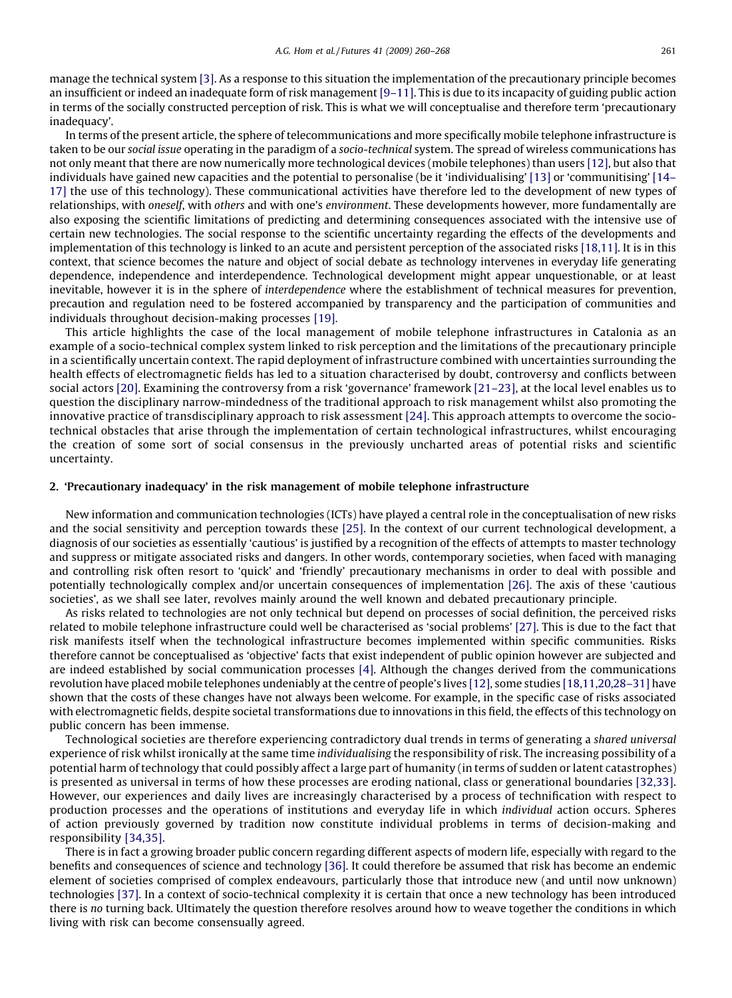manage the technical system [\[3\]](#page--1-0). As a response to this situation the implementation of the precautionary principle becomes an insufficient or indeed an inadequate form of risk management [\[9–11\].](#page--1-0) This is due to its incapacity of guiding public action in terms of the socially constructed perception of risk. This is what we will conceptualise and therefore term 'precautionary inadequacy'.

In terms of the present article, the sphere of telecommunications and more specifically mobile telephone infrastructure is taken to be our social issue operating in the paradigm of a socio-technical system. The spread of wireless communications has not only meant that there are now numerically more technological devices (mobile telephones) than users [\[12\],](#page--1-0) but also that individuals have gained new capacities and the potential to personalise (be it 'individualising' [\[13\]](#page--1-0) or 'communitising' [\[14–](#page--1-0) [17\]](#page--1-0) the use of this technology). These communicational activities have therefore led to the development of new types of relationships, with oneself, with others and with one's environment. These developments however, more fundamentally are also exposing the scientific limitations of predicting and determining consequences associated with the intensive use of certain new technologies. The social response to the scientific uncertainty regarding the effects of the developments and implementation of this technology is linked to an acute and persistent perception of the associated risks [\[18,11\]](#page--1-0). It is in this context, that science becomes the nature and object of social debate as technology intervenes in everyday life generating dependence, independence and interdependence. Technological development might appear unquestionable, or at least inevitable, however it is in the sphere of interdependence where the establishment of technical measures for prevention, precaution and regulation need to be fostered accompanied by transparency and the participation of communities and individuals throughout decision-making processes [\[19\]](#page--1-0).

This article highlights the case of the local management of mobile telephone infrastructures in Catalonia as an example of a socio-technical complex system linked to risk perception and the limitations of the precautionary principle in a scientifically uncertain context. The rapid deployment of infrastructure combined with uncertainties surrounding the health effects of electromagnetic fields has led to a situation characterised by doubt, controversy and conflicts between social actors [\[20\].](#page--1-0) Examining the controversy from a risk 'governance' framework [\[21–23\],](#page--1-0) at the local level enables us to question the disciplinary narrow-mindedness of the traditional approach to risk management whilst also promoting the innovative practice of transdisciplinary approach to risk assessment [\[24\].](#page--1-0) This approach attempts to overcome the sociotechnical obstacles that arise through the implementation of certain technological infrastructures, whilst encouraging the creation of some sort of social consensus in the previously uncharted areas of potential risks and scientific uncertainty.

#### 2. 'Precautionary inadequacy' in the risk management of mobile telephone infrastructure

New information and communication technologies (ICTs) have played a central role in the conceptualisation of new risks and the social sensitivity and perception towards these [\[25\]](#page--1-0). In the context of our current technological development, a diagnosis of our societies as essentially 'cautious' is justified by a recognition of the effects of attempts to master technology and suppress or mitigate associated risks and dangers. In other words, contemporary societies, when faced with managing and controlling risk often resort to 'quick' and 'friendly' precautionary mechanisms in order to deal with possible and potentially technologically complex and/or uncertain consequences of implementation [\[26\].](#page--1-0) The axis of these 'cautious societies', as we shall see later, revolves mainly around the well known and debated precautionary principle.

As risks related to technologies are not only technical but depend on processes of social definition, the perceived risks related to mobile telephone infrastructure could well be characterised as 'social problems' [\[27\]](#page--1-0). This is due to the fact that risk manifests itself when the technological infrastructure becomes implemented within specific communities. Risks therefore cannot be conceptualised as 'objective' facts that exist independent of public opinion however are subjected and are indeed established by social communication processes [\[4\].](#page--1-0) Although the changes derived from the communications revolution have placed mobile telephones undeniably at the centre of people's lives [\[12\],](#page--1-0) some studies [\[18,11,20,28–31\]](#page--1-0) have shown that the costs of these changes have not always been welcome. For example, in the specific case of risks associated with electromagnetic fields, despite societal transformations due to innovations in this field, the effects of this technology on public concern has been immense.

Technological societies are therefore experiencing contradictory dual trends in terms of generating a shared universal experience of risk whilst ironically at the same time individualising the responsibility of risk. The increasing possibility of a potential harm of technology that could possibly affect a large part of humanity (in terms of sudden or latent catastrophes) is presented as universal in terms of how these processes are eroding national, class or generational boundaries [\[32,33\]](#page--1-0). However, our experiences and daily lives are increasingly characterised by a process of technification with respect to production processes and the operations of institutions and everyday life in which individual action occurs. Spheres of action previously governed by tradition now constitute individual problems in terms of decision-making and responsibility [\[34,35\].](#page--1-0)

There is in fact a growing broader public concern regarding different aspects of modern life, especially with regard to the benefits and consequences of science and technology [\[36\]](#page--1-0). It could therefore be assumed that risk has become an endemic element of societies comprised of complex endeavours, particularly those that introduce new (and until now unknown) technologies [\[37\]](#page--1-0). In a context of socio-technical complexity it is certain that once a new technology has been introduced there is no turning back. Ultimately the question therefore resolves around how to weave together the conditions in which living with risk can become consensually agreed.